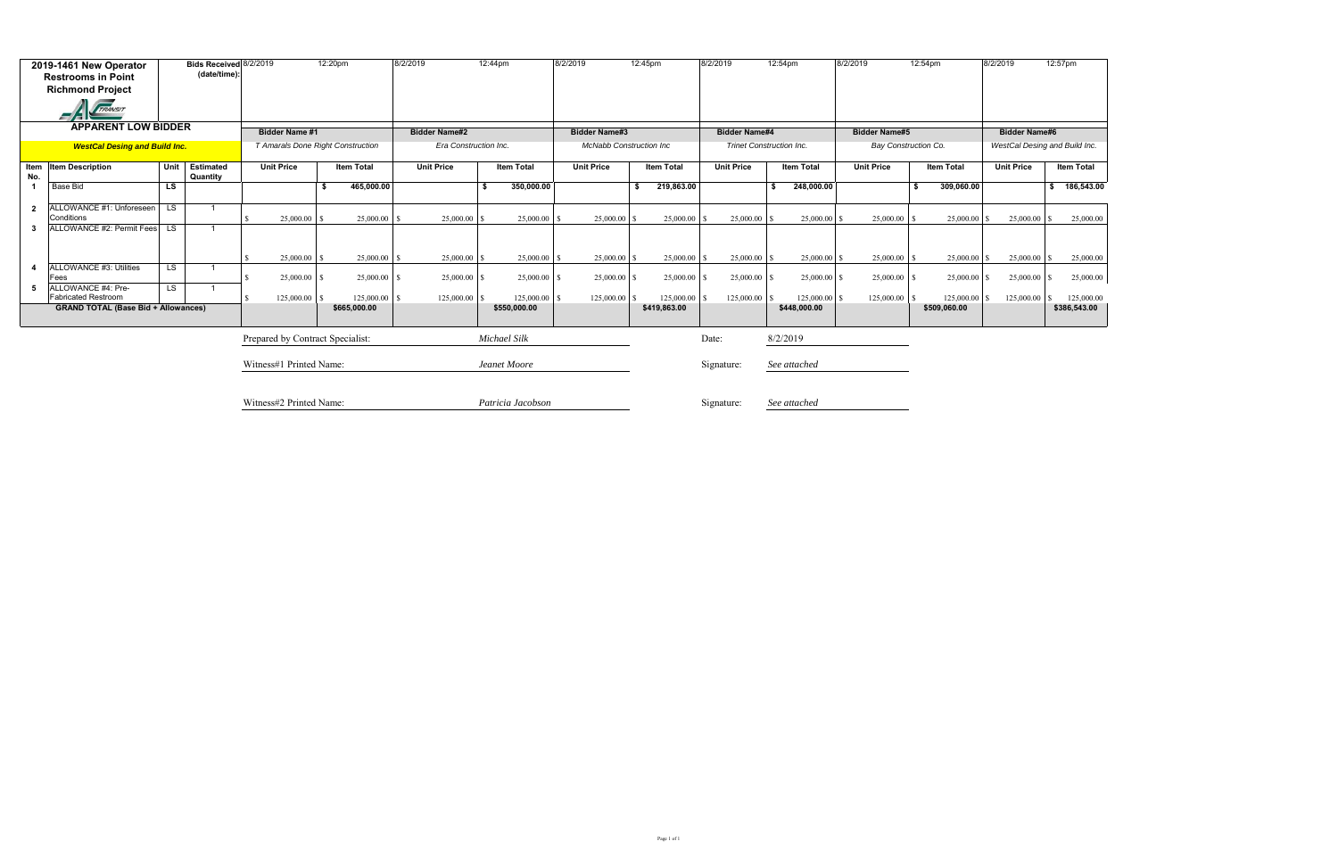| 2019-1461 New Operator<br><b>Restrooms in Point</b><br><b>Richmond Project</b> |                                                  |                         | Bids Received 8/2/2019<br>(date/time): |  |                                   | 12:20pm |                   | 8/2/2019              |    | 12:44pm            | 8/2/2019 |                                |    | 12:45pm           | 8/2/2019 |                                 | 12:54pm           | 8/2/2019             | 12:54pm              | 8/2/2019             | 12:57pm                       |
|--------------------------------------------------------------------------------|--------------------------------------------------|-------------------------|----------------------------------------|--|-----------------------------------|---------|-------------------|-----------------------|----|--------------------|----------|--------------------------------|----|-------------------|----------|---------------------------------|-------------------|----------------------|----------------------|----------------------|-------------------------------|
|                                                                                | <b>TRANSIT</b>                                   |                         |                                        |  |                                   |         |                   |                       |    |                    |          |                                |    |                   |          |                                 |                   |                      |                      |                      |                               |
|                                                                                | <b>APPARENT LOW BIDDER</b>                       |                         |                                        |  | <b>Bidder Name #1</b>             |         |                   | <b>Bidder Name#2</b>  |    |                    |          | <b>Bidder Name#3</b>           |    |                   |          | <b>Bidder Name#4</b>            |                   | <b>Bidder Name#5</b> |                      | <b>Bidder Name#6</b> |                               |
|                                                                                | <b>WestCal Desing and Build Inc.</b>             |                         |                                        |  | T Amarals Done Right Construction |         |                   | Era Construction Inc. |    |                    |          | <b>McNabb Construction Inc</b> |    |                   |          | <b>Trinet Construction Inc.</b> |                   |                      | Bay Construction Co. |                      | WestCal Desing and Build Inc. |
| No.                                                                            | Item Item Description                            | Unit                    | <b>Estimated</b><br>Quantity           |  | <b>Unit Price</b>                 |         | <b>Item Total</b> | <b>Unit Price</b>     |    | <b>Item Total</b>  |          | <b>Unit Price</b>              |    | <b>Item Total</b> |          | <b>Unit Price</b>               | <b>Item Total</b> | <b>Unit Price</b>    | <b>Item Total</b>    | <b>Unit Price</b>    | <b>Item Total</b>             |
|                                                                                | <b>Base Bid</b>                                  | <b>LS</b>               |                                        |  |                                   | S.      | 465,000.00        |                       | -S | 350,000.00         |          |                                | \$ | 219,863.00        |          |                                 | 248,000.00<br>\$  |                      | 309,060.00<br>\$     |                      | \$ 186,543.00                 |
| $\mathbf{2}$                                                                   | ALLOWANCE #1: Unforeseen<br>Conditions           | $\overline{\mathsf{L}}$ | $\overline{\mathbf{1}}$                |  | 25,000.00                         |         | 25,000.00         | 25,000.00             |    | $25,000.00$ \ \ \$ |          | $25,000.00$ \$                 |    | 25,000.00         |          | 25,000.00 \$                    | 25,000.00         | 25,000.00            | $25,000.00$ \$       | $25,000.00$ \$       | 25,000.00                     |
| 3                                                                              | ALLOWANCE #2: Permit Fees LS                     |                         | $\overline{\mathbf{1}}$                |  |                                   |         |                   |                       |    |                    |          |                                |    |                   |          |                                 |                   |                      |                      |                      |                               |
|                                                                                |                                                  |                         |                                        |  | 25,000.00                         |         | 25,000.00         | 25,000.00             |    | 25,000.00          |          | $25,000.00$ \$                 |    | 25,000.00         |          | 25,000.00 \$                    | 25,000.00         | 25,000.00            | $25,000.00$ \$       | $25,000.00$ \$       | 25,000.00                     |
| 4                                                                              | ALLOWANCE #3: Utilities<br>Fees                  | LS                      | $\overline{\mathbf{1}}$                |  | $25,000.00$ \ \$                  |         | $25,000.00$ \$    | 25,000.00             |    | $25,000.00$ \$     |          | $25,000.00$ \$                 |    | 25,000.00         |          | $25,000.00$ \$                  | $25,000.00$ \$    | 25,000.00            | $25,000.00$ \$       | $25,000.00$ \$       | 25,000.00                     |
| 5                                                                              | ALLOWANCE #4: Pre-<br><b>Fabricated Restroom</b> | $\overline{\text{LS}}$  | $\overline{\mathbf{1}}$                |  |                                   |         | $125,000.00$ S    |                       |    |                    |          | $125,000.00$ \$                |    | 125,000.00        |          | $125,000.00$ S                  | 125,000.00        | 125,000.00           | $125,000.00$ \$      |                      | 125,000.00                    |
|                                                                                | <b>GRAND TOTAL (Base Bid + Allowances)</b>       |                         |                                        |  |                                   |         | \$665,000.00      |                       |    | \$550,000.00       |          |                                |    | \$419,863.00      |          |                                 | \$448,000.00      |                      | \$509,060.00         |                      | \$386,543.00                  |
|                                                                                |                                                  |                         |                                        |  | Prepared by Contract Specialist:  |         |                   |                       |    | Michael Silk       |          |                                |    |                   | Date:    |                                 | 8/2/2019          |                      |                      |                      |                               |
|                                                                                |                                                  |                         | Witness#1 Printed Name:                |  |                                   |         | Jeanet Moore      |                       |    | Signature:         |          | See attached                   |    |                   |          |                                 |                   |                      |                      |                      |                               |
|                                                                                |                                                  |                         |                                        |  | Witness#2 Printed Name:           |         |                   |                       |    | Patricia Jacobson  |          |                                |    |                   |          | Signature:                      | See attached      |                      |                      |                      |                               |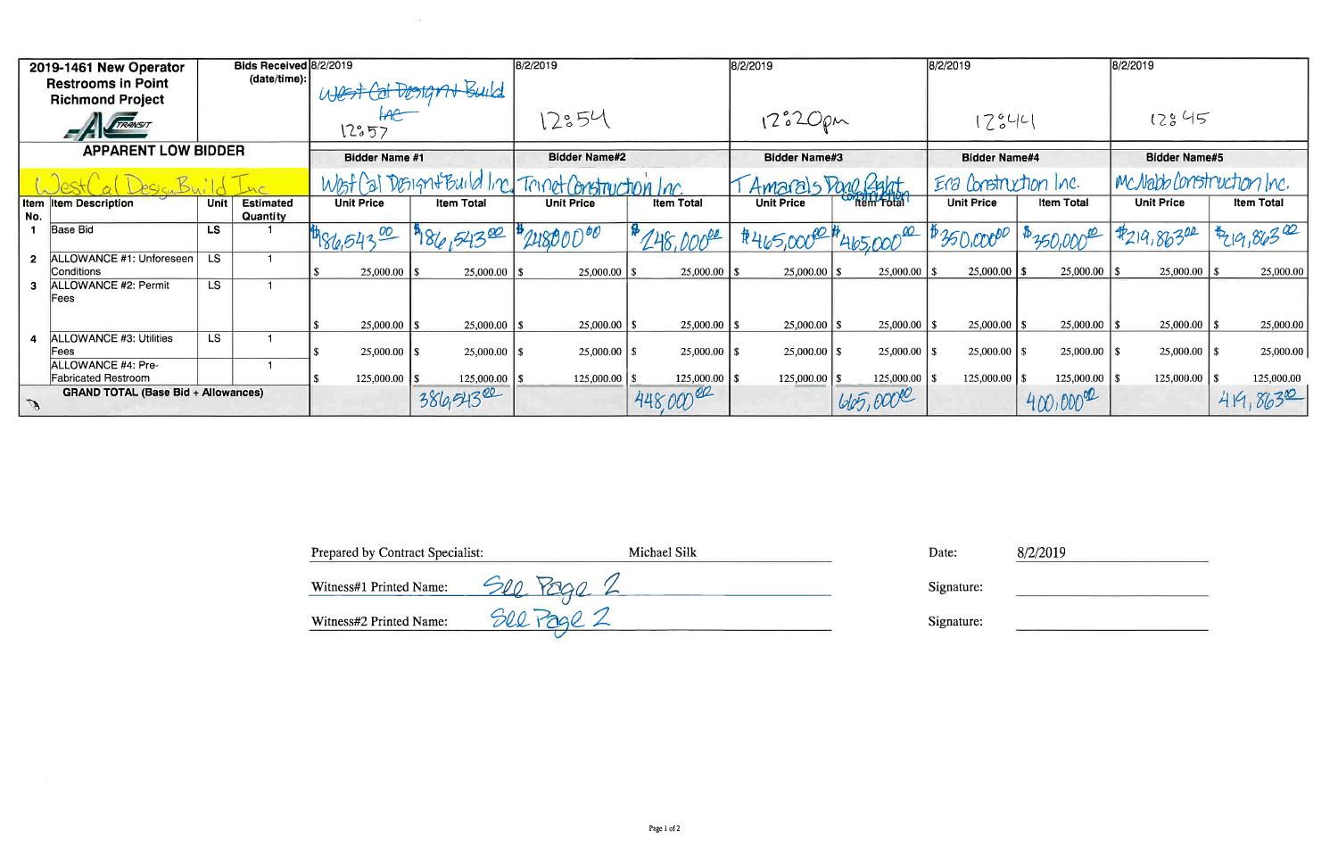|                                            | 2019-1461 New Operator                               |                 | Bids Received 8/2/2019       |                                                     |                   | 8/2/2019             |                   | 8/2/2019             |                  | 8/2/2019              |                   | 8/2/2019                 |                   |
|--------------------------------------------|------------------------------------------------------|-----------------|------------------------------|-----------------------------------------------------|-------------------|----------------------|-------------------|----------------------|------------------|-----------------------|-------------------|--------------------------|-------------------|
|                                            | <b>Restrooms in Point</b><br><b>Richmond Project</b> |                 | (data/time).                 | West Cat Designal Build                             |                   |                      |                   |                      |                  |                       |                   |                          |                   |
| TRANSIT                                    |                                                      |                 | 12:57                        |                                                     | 12354             |                      | $12°20\rho m$     |                      | 17,042           |                       | 12845             |                          |                   |
|                                            | <b>APPARENT LOW BIDDER</b>                           |                 |                              | <b>Bidder Name #1</b>                               |                   | <b>Bidder Name#2</b> |                   | <b>Bidder Name#3</b> |                  | <b>Bidder Name#4</b>  |                   | <b>Bidder Name#5</b>     |                   |
|                                            |                                                      |                 |                              | West (at Design+Build Inc. Trinet Construction Inc. |                   |                      |                   | Amarals Done Right   |                  | Era Construction Inc. |                   | McNabb Construction Inc. |                   |
| No.                                        | <b>Item Item Description</b>                         | Unit            | <b>Estimated</b><br>Quantity | <b>Unit Price</b>                                   | <b>Item Total</b> | <b>Unit Price</b>    | <b>Item Total</b> | <b>Unit Price</b>    | tem Total        | <b>Unit Price</b>     | <b>Item Total</b> | <b>Unit Price</b>        | <b>Item Total</b> |
|                                            | Base Bid                                             | <b>LS</b>       |                              | 1486,54300                                          | 186,54300         | 24800000             | 248,00000         | #465,00000           | 4 465,000 00     | 17350,00000           | 1430,0000         | 7219,86302               | 14219,86300       |
| 2 <sup>1</sup>                             | ALLOWANCE #1: Unforeseen<br>Conditions               | L <sub>S</sub>  |                              | 25,000.00                                           | 25,000.00         | $25,000.00$   \$     | $25,000.00$   \$  |                      |                  | 25,000.00             |                   |                          | 25,000.00         |
|                                            | ALLOWANCE #2: Permit<br>Fees                         | LS <sup></sup>  |                              |                                                     |                   |                      |                   |                      |                  |                       |                   |                          |                   |
|                                            |                                                      |                 |                              | 25,000.00                                           | 25,000.00         | 25,000.00            |                   |                      |                  | $25,000.00$ \ \ \$    | $25,000.00$ \ \\$ | $25,000.00$ \ \ \$       | 25,000.00         |
|                                            | <b>ALLOWANCE #3: Utilities</b><br> Fees              | $\overline{LS}$ |                              |                                                     | $25,000.00$ \ \\$ |                      | $25,000.00$   \$  | $25,000.00$   \$     | $25,000.00$   \$ | $25,000.00$   \$      |                   |                          | 25,000.00         |
|                                            | ALLOWANCE #4: Pre-<br><b>Fabricated Restroom</b>     |                 |                              | $125,000.00$   \$                                   | 125,000.00        |                      |                   | $125,000.00$   \$    | 125,000.00       | $125,000.00$ \ \$     | 125,000.00        | 125,000.00               | 125,000.00        |
| <b>GRAND TOTAL (Base Bid + Allowances)</b> |                                                      |                 |                              |                                                     |                   |                      |                   |                      |                  |                       | $400,000^{92}$    |                          |                   |

 $\mathcal{L}^{\text{max}}_{\text{max}}$ 

| <b>Prepared by Contract Specialist:</b> | Michael Silk | Date:     |
|-----------------------------------------|--------------|-----------|
| Witness#1 Printed Name:                 | <b>YARD</b>  | Signature |
| Witness#2 Printed Name:                 | See Page 2   | Signature |

 $8/2/2019$ 

<u> 1980 - Jan Jawa Barat, prima prima prima prima prima prima prima prima prima prima prima prima prima prima p</u>

re:

 $re:$